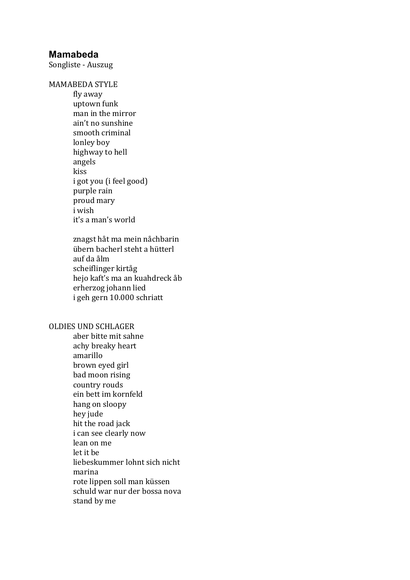## **Mamabeda**

Songliste - Auszug

MAMABEDA STYLE

fly away uptown funk man in the mirror ain't no sunshine smooth criminal lonley boy highway to hell angels kiss i got you (i feel good) purple rain proud mary i wish it's a man's world

znagst håt ma mein nåchbarin übern bacherl steht a hütterl auf da ålm scheiflinger kirtåg hejo kaft's ma an kuahdreck åb erherzog johann lied i geh gern 10.000 schriatt

#### OLDIES UND SCHLAGER

aber bitte mit sahne achy breaky heart amarillo brown eyed girl bad moon rising country rouds ein bett im kornfeld hang on sloopy hey jude hit the road jack i can see clearly now lean on me let it be liebeskummer lohnt sich nicht marina rote lippen soll man küssen schuld war nur der bossa nova stand by me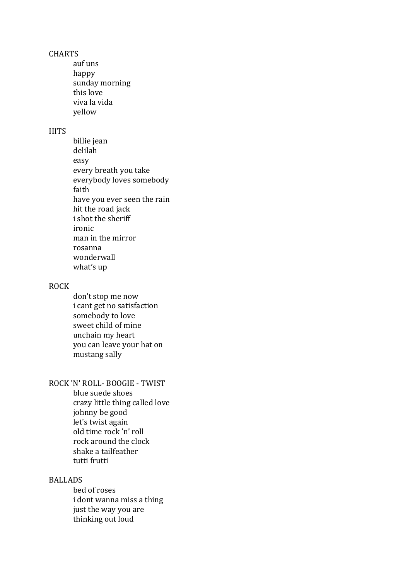#### **CHARTS**

auf uns happy sunday morning this love viva la vida yellow

#### **HITS**

billie iean delilah easy every breath you take everybody loves somebody faith have you ever seen the rain hit the road jack i shot the sheriff ironic man in the mirror rosanna wonderwall what's up

#### ROCK

don't stop me now i cant get no satisfaction somebody to love sweet child of mine unchain my heart you can leave your hat on mustang sally

# ROCK 'N' ROLL- BOOGIE - TWIST

blue suede shoes crazy little thing called love johnny be good let's twist again old time rock 'n' roll rock around the clock shake a tailfeather tutti frutti

### BALLADS

bed of roses i dont wanna miss a thing just the way you are thinking out loud